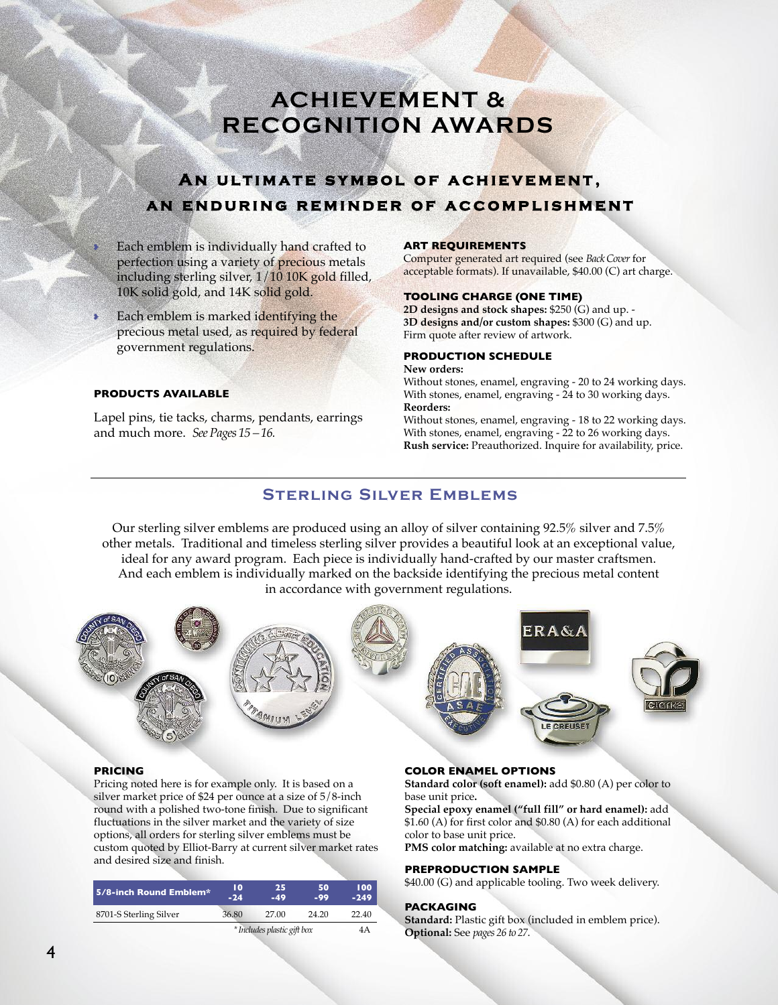# **AchiEVEMENt & rEcoGNitioN AWArDS**

## **A n ul t i m at e sy m b o l o f ac h ie ve m e n t ,** AN ENDURING REMINDER OF ACCOMPLISHMENT

- Each emblem is individually hand crafted to perfection using a variety of precious metals including sterling silver, 1/10 10K gold filled, 10K solid gold, and 14K solid gold.
- Each emblem is marked identifying the precious metal used, as required by federal government regulations.

#### **PRODUCTS AVAILABLE**

Lapel pins, tie tacks, charms, pendants, earrings and much more. *SeePages 15 – 16.*

#### **ART REQUIREMENTS**

Computer generated art required (see *BackCover* for acceptable formats). If unavailable, \$40.00 (C) art charge.

#### **TOOLING CHARGE (ONE TIME)**

**2D designs and stock shapes:** \$250 (G) and up. - **3D designs and/or custom shapes:** \$300 (G) and up. Firm quote after review of artwork.

### **PRODUCTION SCHEDULE**

**New orders:**

Without stones, enamel, engraving - 20 to 24 working days. With stones, enamel, engraving - 24 to 30 working days. **Reorders:**

Without stones, enamel, engraving - 18 to 22 working days. With stones, enamel, engraving - 22 to 26 working days. **Rush service:** Preauthorized. Inquire for availability, price.

## **Sterling Silver Emblems**

Our sterling silver emblems are produced using an alloy of silver containing 92.5% silver and 7.5% other metals. Traditional and timeless sterling silver provides a beautiful look at an exceptional value, ideal for any award program. Each piece is individually hand-crafted by our master craftsmen. And each emblem is individually marked on the backside identifying the precious metal content in accordance with government regulations.



#### **PRICING**

Pricing noted here is for example only. It is based on a silver market price of \$24 per ounce at a size of 5/8-inch round with a polished two-tone finish. Due to significant fluctuations in the silver market and the variety of size options, all orders for sterling silver emblems must be custom quoted by Elliot-Barry at current silver market rates and desired size and finish.

| 5/8-inch Round Emblem* | 10<br>$-24$                 | 25<br>$-49$ | 50<br>-99 | 100<br>$-249$ |
|------------------------|-----------------------------|-------------|-----------|---------------|
| 8701-S Sterling Silver | 36.80                       | 27.00       | 24.20     | 22.40         |
|                        | * Includes plastic gift box |             | 4 A       |               |

#### **COLOR ENAMEL OPTIONS**

**Standard color (soft enamel):** add \$0.80 (A) per color to base unit price**.**

**Special epoxy enamel ("full fill" or hard enamel):** add \$1.60 (A) for first color and \$0.80 (A) for each additional color to base unit price.

**PMS color matching:** available at no extra charge.

#### **PREPRODUCTION SAMPLE**

\$40.00 (G) and applicable tooling. Two week delivery.

#### **PACKAGING**

**Standard:** Plastic gift box (included in emblem price). **Optional:** See *pages 26 to 27*.